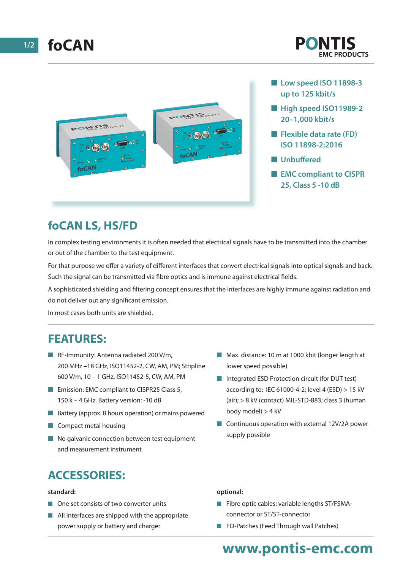

- **n** Low speed ISO 11898-3 **up to 125 kbit/s**
- $\blacksquare$  **High speed ISO11989-2 20–1,000 kbit/s**
- **Flexible data rate (FD) ISO 11898-2:2016**
- **n** Unbuffered
- **EMC compliant to CISPR 25, Class 5 -10 dB**

# **foCAN LS, HS/FD**

In complex testing environments it is often needed that electrical signals have to be transmitted into the chamber or out of the chamber to the test equipment.

For that purpose we offer a variety of different interfaces that convert electrical signals into optical signals and back. Such the signal can be transmitted via fibre optics and is immune against electrical fields.

A sophisticated shielding and filtering concept ensures that the interfaces are highly immune against radiation and do not deliver out any significant emission.

In most cases both units are shielded.

### **FEATURES:**

- **n** RF-Immunity: Antenna radiated 200 V/m, 200 MHz –18 GHz, ISO11452-2, CW, AM, PM; Stripline 600 V/m, 10 – 1 GHz, ISO11452-5, CW, AM, PM
- **Emission: EMC compliant to CISPR25 Class 5,** 150 k – 4 GHz, Battery version: -10 dB
- $\blacksquare$  Battery (approx. 8 hours operation) or mains powered
- $\blacksquare$  Compact metal housing
- $\blacksquare$  No galvanic connection between test equipment and measurement instrument
- $\blacksquare$  Max. distance: 10 m at 1000 kbit (longer length at lower speed possible)
- $\blacksquare$  Integrated ESD Protection circuit (for DUT test) according to: IEC 61000-4-2; level 4 (ESD) > 15 kV (air); > 8 kV (contact) MIL-STD-883; class 3 (human body model) > 4 kV
- $\Box$  Continuous operation with external 12V/2A power supply possible

# **ACCESSORIES:**

#### **standard:**

- $\blacksquare$  One set consists of two converter units
- $\blacksquare$  All interfaces are shipped with the appropriate power supply or battery and charger

#### **optional:**

- $\blacksquare$  Fibre optic cables: variable lengths ST/FSMAconnector or ST/ST-connector
- **n** FO-Patches (Feed Through wall Patches)

# **www.pontis-emc.com**